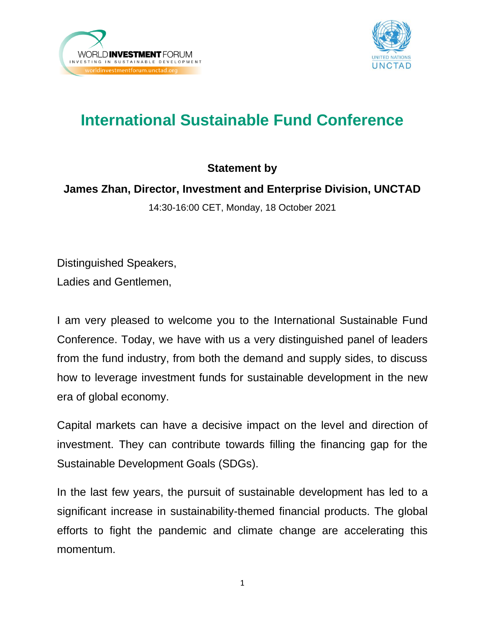



## **International Sustainable Fund Conference**

## **Statement by**

## **James Zhan, Director, Investment and Enterprise Division, UNCTAD**

14:30-16:00 CET, Monday, 18 October 2021

Distinguished Speakers, Ladies and Gentlemen,

I am very pleased to welcome you to the International Sustainable Fund Conference. Today, we have with us a very distinguished panel of leaders from the fund industry, from both the demand and supply sides, to discuss how to leverage investment funds for sustainable development in the new era of global economy.

Capital markets can have a decisive impact on the level and direction of investment. They can contribute towards filling the financing gap for the Sustainable Development Goals (SDGs).

In the last few years, the pursuit of sustainable development has led to a significant increase in sustainability-themed financial products. The global efforts to fight the pandemic and climate change are accelerating this momentum.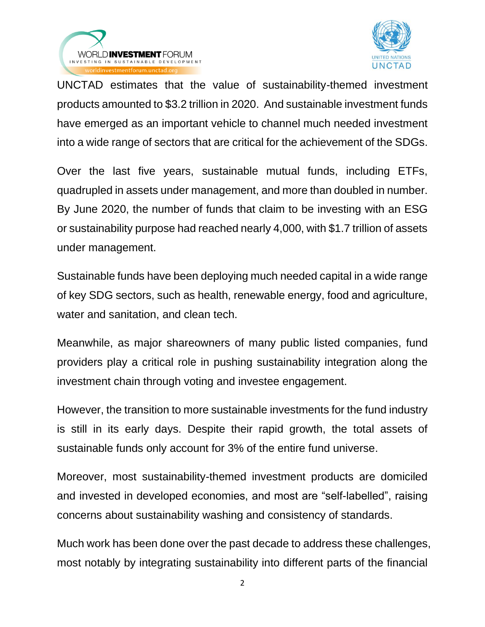



UNCTAD estimates that the value of sustainability-themed investment products amounted to \$3.2 trillion in 2020. And sustainable investment funds have emerged as an important vehicle to channel much needed investment into a wide range of sectors that are critical for the achievement of the SDGs.

Over the last five years, sustainable mutual funds, including ETFs, quadrupled in assets under management, and more than doubled in number. By June 2020, the number of funds that claim to be investing with an ESG or sustainability purpose had reached nearly 4,000, with \$1.7 trillion of assets under management.

Sustainable funds have been deploying much needed capital in a wide range of key SDG sectors, such as health, renewable energy, food and agriculture, water and sanitation, and clean tech.

Meanwhile, as major shareowners of many public listed companies, fund providers play a critical role in pushing sustainability integration along the investment chain through voting and investee engagement.

However, the transition to more sustainable investments for the fund industry is still in its early days. Despite their rapid growth, the total assets of sustainable funds only account for 3% of the entire fund universe.

Moreover, most sustainability-themed investment products are domiciled and invested in developed economies, and most are "self-labelled", raising concerns about sustainability washing and consistency of standards.

Much work has been done over the past decade to address these challenges, most notably by integrating sustainability into different parts of the financial